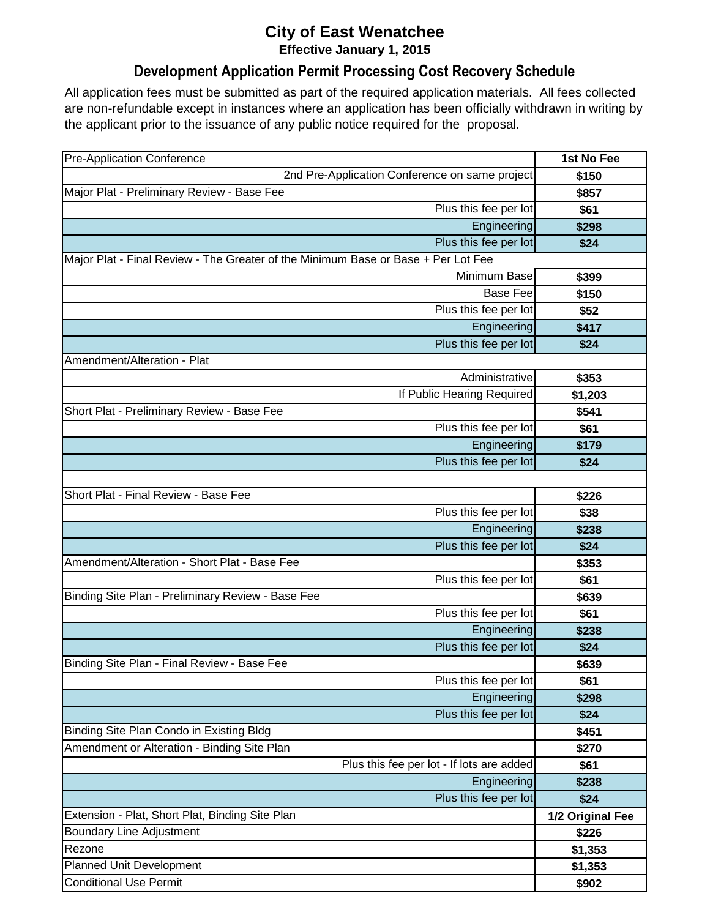## **City of East Wenatchee Effective January 1, 2015**

## **Development Application Permit Processing Cost Recovery Schedule**

All application fees must be submitted as part of the required application materials. All fees collected are non-refundable except in instances where an application has been officially withdrawn in writing by the applicant prior to the issuance of any public notice required for the proposal.

| <b>Pre-Application Conference</b>                                                 | 1st No Fee       |
|-----------------------------------------------------------------------------------|------------------|
| 2nd Pre-Application Conference on same project                                    | \$150            |
| Major Plat - Preliminary Review - Base Fee                                        | \$857            |
| Plus this fee per lot                                                             | \$61             |
| Engineering                                                                       | \$298            |
| Plus this fee per lot                                                             | \$24             |
| Major Plat - Final Review - The Greater of the Minimum Base or Base + Per Lot Fee |                  |
| Minimum Base                                                                      | \$399            |
| <b>Base Fee</b>                                                                   | \$150            |
| Plus this fee per lot                                                             | \$52             |
| Engineering                                                                       | \$417            |
| Plus this fee per lot                                                             | \$24             |
| Amendment/Alteration - Plat                                                       |                  |
| Administrative                                                                    | \$353            |
| If Public Hearing Required                                                        | \$1,203          |
| Short Plat - Preliminary Review - Base Fee                                        | \$541            |
| Plus this fee per lot                                                             | \$61             |
| Engineering                                                                       | \$179            |
| Plus this fee per lot                                                             | \$24             |
|                                                                                   |                  |
| Short Plat - Final Review - Base Fee                                              | \$226            |
| Plus this fee per lot                                                             | \$38             |
| Engineering                                                                       | \$238            |
| Plus this fee per lot                                                             | \$24             |
| Amendment/Alteration - Short Plat - Base Fee                                      | \$353            |
| Plus this fee per lot                                                             | \$61             |
| Binding Site Plan - Preliminary Review - Base Fee                                 | \$639            |
| Plus this fee per lot                                                             | \$61             |
| Engineering                                                                       | \$238            |
| Plus this fee per lot                                                             | \$24             |
| Binding Site Plan - Final Review - Base Fee                                       | \$639            |
| Plus this fee per lot                                                             | \$61             |
| Engineering                                                                       | \$298            |
| Plus this fee per lot                                                             | \$24             |
| Binding Site Plan Condo in Existing Bldg                                          | \$451            |
| Amendment or Alteration - Binding Site Plan                                       | \$270            |
| Plus this fee per lot - If lots are added                                         | \$61             |
| Engineering                                                                       | \$238            |
| Plus this fee per lot                                                             | \$24             |
| Extension - Plat, Short Plat, Binding Site Plan                                   | 1/2 Original Fee |
| <b>Boundary Line Adjustment</b>                                                   | \$226            |
| Rezone                                                                            | \$1,353          |
| <b>Planned Unit Development</b>                                                   | \$1,353          |
| <b>Conditional Use Permit</b>                                                     | \$902            |